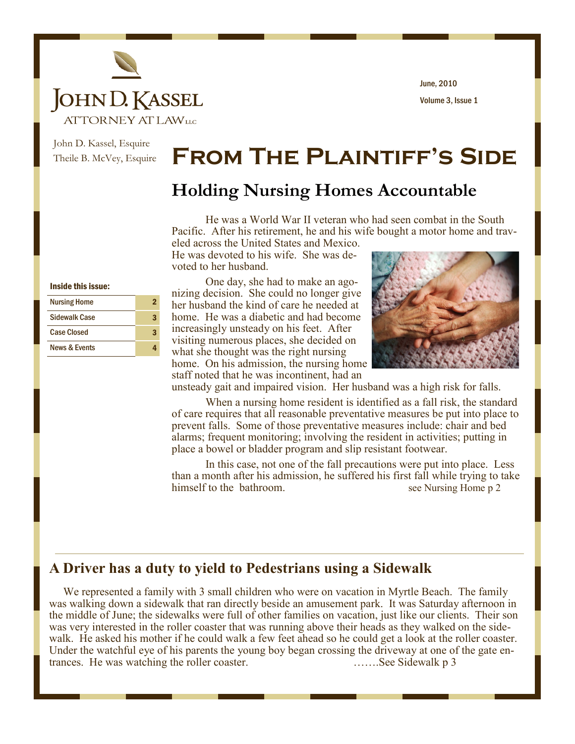

Volume 3, Issue 1 June, 2010

John D. Kassel, Esquire Theile B. McVey, Esquire

## **From The Plaintiff's Side**

## **Holding Nursing Homes Accountable**

He was a World War II veteran who had seen combat in the South Pacific. After his retirement, he and his wife bought a motor home and traveled across the United States and Mexico.

He was devoted to his wife. She was devoted to her husband.

#### Inside this issue:

| <b>Nursing Home</b>      | 2 |
|--------------------------|---|
| <b>Sidewalk Case</b>     | З |
| <b>Case Closed</b>       | З |
| <b>News &amp; Events</b> |   |

One day, she had to make an agonizing decision. She could no longer give her husband the kind of care he needed at home. He was a diabetic and had become increasingly unsteady on his feet. After visiting numerous places, she decided on what she thought was the right nursing home. On his admission, the nursing home staff noted that he was incontinent, had an



unsteady gait and impaired vision. Her husband was a high risk for falls.

When a nursing home resident is identified as a fall risk, the standard of care requires that all reasonable preventative measures be put into place to prevent falls. Some of those preventative measures include: chair and bed alarms; frequent monitoring; involving the resident in activities; putting in place a bowel or bladder program and slip resistant footwear.

In this case, not one of the fall precautions were put into place. Less than a month after his admission, he suffered his first fall while trying to take himself to the bathroom. See Nursing Home p 2

### **A Driver has a duty to yield to Pedestrians using a Sidewalk**

We represented a family with 3 small children who were on vacation in Myrtle Beach. The family was walking down a sidewalk that ran directly beside an amusement park. It was Saturday afternoon in the middle of June; the sidewalks were full of other families on vacation, just like our clients. Their son was very interested in the roller coaster that was running above their heads as they walked on the sidewalk. He asked his mother if he could walk a few feet ahead so he could get a look at the roller coaster. Under the watchful eye of his parents the young boy began crossing the driveway at one of the gate entrances. He was watching the roller coaster. …….See Sidewalk p 3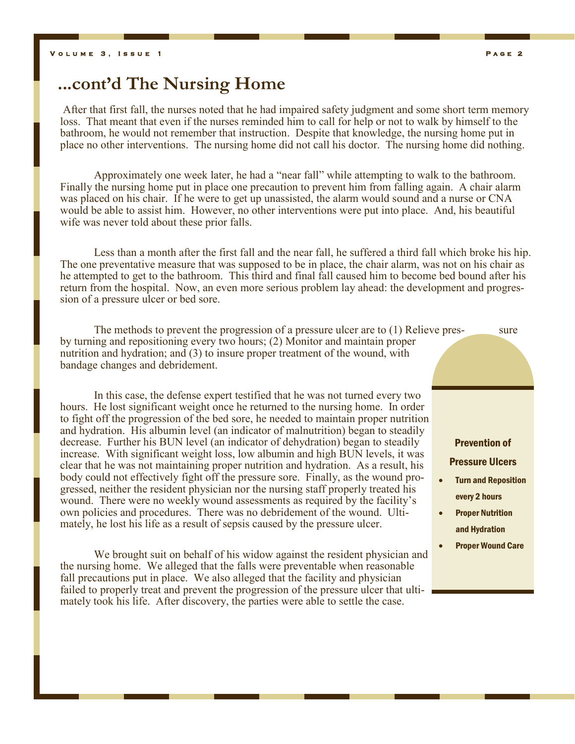## **...cont'd The Nursing Home**

After that first fall, the nurses noted that he had impaired safety judgment and some short term memory loss. That meant that even if the nurses reminded him to call for help or not to walk by himself to the bathroom, he would not remember that instruction. Despite that knowledge, the nursing home put in place no other interventions. The nursing home did not call his doctor. The nursing home did nothing.

Approximately one week later, he had a "near fall" while attempting to walk to the bathroom. Finally the nursing home put in place one precaution to prevent him from falling again. A chair alarm was placed on his chair. If he were to get up unassisted, the alarm would sound and a nurse or CNA would be able to assist him. However, no other interventions were put into place. And, his beautiful wife was never told about these prior falls.

Less than a month after the first fall and the near fall, he suffered a third fall which broke his hip. The one preventative measure that was supposed to be in place, the chair alarm, was not on his chair as he attempted to get to the bathroom. This third and final fall caused him to become bed bound after his return from the hospital. Now, an even more serious problem lay ahead: the development and progression of a pressure ulcer or bed sore.

The methods to prevent the progression of a pressure ulcer are to  $(1)$  Relieve pres- sure by turning and repositioning every two hours; (2) Monitor and maintain proper nutrition and hydration; and (3) to insure proper treatment of the wound, with bandage changes and debridement.

In this case, the defense expert testified that he was not turned every two hours. He lost significant weight once he returned to the nursing home. In order to fight off the progression of the bed sore, he needed to maintain proper nutrition and hydration. His albumin level (an indicator of malnutrition) began to steadily decrease. Further his BUN level (an indicator of dehydration) began to steadily increase. With significant weight loss, low albumin and high BUN levels, it was clear that he was not maintaining proper nutrition and hydration. As a result, his body could not effectively fight off the pressure sore. Finally, as the wound progressed, neither the resident physician nor the nursing staff properly treated his wound. There were no weekly wound assessments as required by the facility's own policies and procedures. There was no debridement of the wound. Ultimately, he lost his life as a result of sepsis caused by the pressure ulcer.

We brought suit on behalf of his widow against the resident physician and the nursing home. We alleged that the falls were preventable when reasonable fall precautions put in place. We also alleged that the facility and physician failed to properly treat and prevent the progression of the pressure ulcer that ultimately took his life. After discovery, the parties were able to settle the case.

# Prevention of Pressure Ulcers

- Turn and Reposition every 2 hours
- Proper Nutrition and Hydration
- Proper Wound Care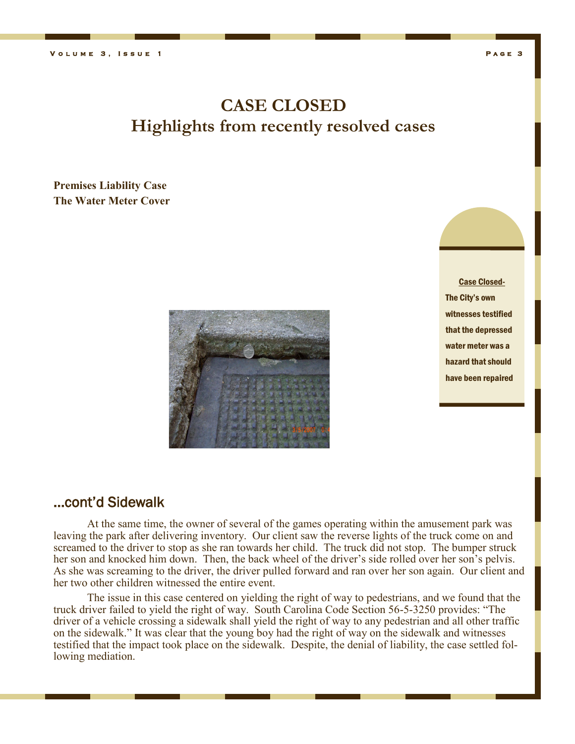## **CASE CLOSED Highlights from recently resolved cases**

#### **Premises Liability Case The Water Meter Cover**



Case Closed-The City's own witnesses testified that the depressed water meter was a hazard that should have been repaired

### ...cont'd Sidewalk

At the same time, the owner of several of the games operating within the amusement park was leaving the park after delivering inventory. Our client saw the reverse lights of the truck come on and screamed to the driver to stop as she ran towards her child. The truck did not stop. The bumper struck her son and knocked him down. Then, the back wheel of the driver's side rolled over her son's pelvis. As she was screaming to the driver, the driver pulled forward and ran over her son again. Our client and her two other children witnessed the entire event.

The issue in this case centered on yielding the right of way to pedestrians, and we found that the truck driver failed to yield the right of way. South Carolina Code Section 56-5-3250 provides: "The driver of a vehicle crossing a sidewalk shall yield the right of way to any pedestrian and all other traffic on the sidewalk." It was clear that the young boy had the right of way on the sidewalk and witnesses testified that the impact took place on the sidewalk. Despite, the denial of liability, the case settled following mediation.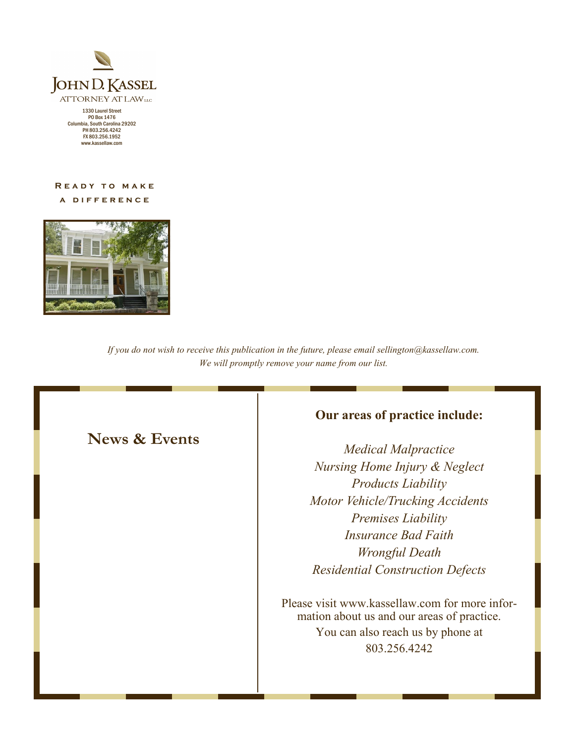

PO Box 1476 Columbia, South Carolina 29202 PH 803.256.4242 FX 803.256.1952 www.kassellaw.com

#### **READY TO MAKE**

**a d i f f e r e n c e** 



*If you do not wish to receive this publication in the future, please email sellington@kassellaw.com. We will promptly remove your name from our list.*

## **News & Events**

## **Our areas of practice include:**

*Medical Malpractice Nursing Home Injury & Neglect Products Liability Motor Vehicle/Trucking Accidents Premises Liability Insurance Bad Faith Wrongful Death Residential Construction Defects*

Please visit www.kassellaw.com for more information about us and our areas of practice. You can also reach us by phone at 803.256.4242